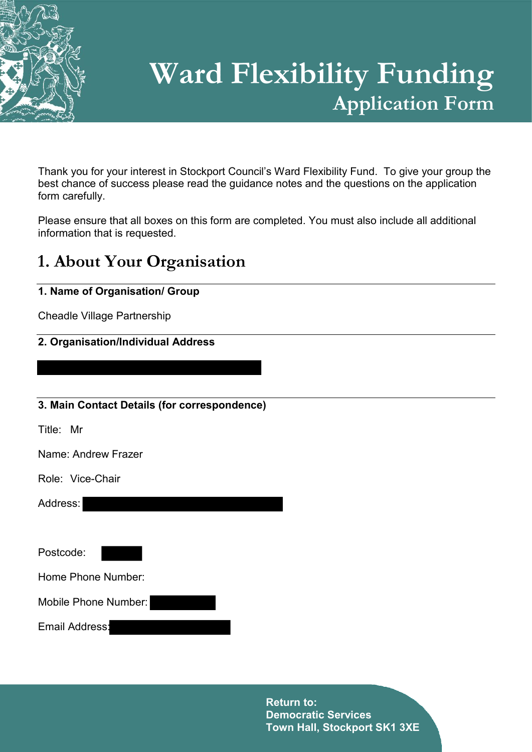

# **Ward Flexibility Funding Application Form**

Thank you for your interest in Stockport Council's Ward Flexibility Fund. To give your group the best chance of success please read the guidance notes and the questions on the application form carefully.

Please ensure that all boxes on this form are completed. You must also include all additional information that is requested.

# **1. About Your Organisation**

# **1. Name of Organisation/ Group**

Cheadle Village Partnership

# **2. Organisation/Individual Address**

## **3. Main Contact Details (for correspondence)**

Title: Mr

Name: Andrew Frazer

Role: Vice-Chair

Address:

Postcode:

Home Phone Number:

Mobile Phone Number:

Email Address: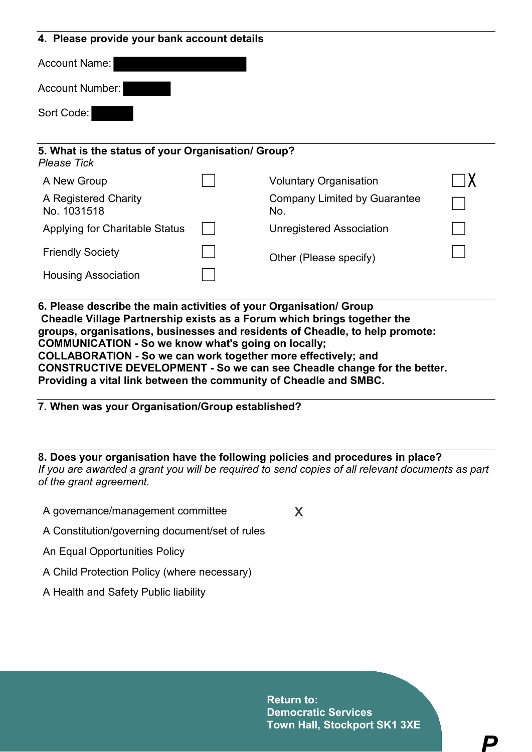#### **4. Please provide your bank account details**

| Account Name:                                                            |                                            |  |
|--------------------------------------------------------------------------|--------------------------------------------|--|
| <b>Account Number:</b>                                                   |                                            |  |
| Sort Code:                                                               |                                            |  |
| 5. What is the status of your Organisation/ Group?<br><b>Please Tick</b> |                                            |  |
| A New Group                                                              | <b>Voluntary Organisation</b>              |  |
| A Registered Charity<br>No. 1031518                                      | <b>Company Limited by Guarantee</b><br>No. |  |
| Applying for Charitable Status                                           | <b>Unregistered Association</b>            |  |
| <b>Friendly Society</b>                                                  | Other (Please specify)                     |  |
| <b>Housing Association</b>                                               |                                            |  |

**6. Please describe the main activities of your Organisation/ Group Cheadle Village Partnership exists as a Forum which brings together the groups, organisations, businesses and residents of Cheadle, to help promote: COMMUNICATION - So we know what's going on locally; COLLABORATION - So we can work together more effectively; and CONSTRUCTIVE DEVELOPMENT - So we can see Cheadle change for the better. Providing a vital link between the community of Cheadle and SMBC.**

**7. When was your Organisation/Group established?**

**8. Does your organisation have the following policies and procedures in place?**  *If you are awarded a grant you will be required to send copies of all relevant documents as part of the grant agreement.*

A governance/management committee  $\times$ 

- A Constitution/governing document/set of rules
- An Equal Opportunities Policy
- A Child Protection Policy (where necessary)
- A Health and Safety Public liability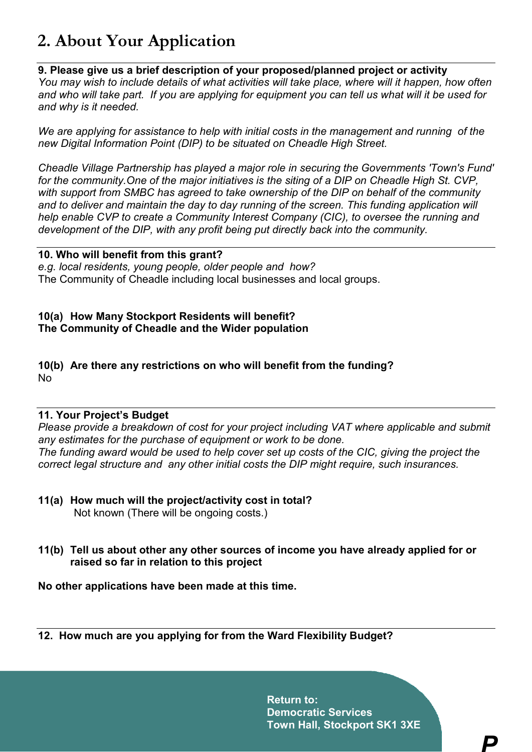# **2. About Your Application**

## **9. Please give us a brief description of your proposed/planned project or activity**

*You may wish to include details of what activities will take place, where will it happen, how often and who will take part. If you are applying for equipment you can tell us what will it be used for and why is it needed.*

*We are applying for assistance to help with initial costs in the management and running of the new Digital Information Point (DIP) to be situated on Cheadle High Street.*

*Cheadle Village Partnership has played a major role in securing the Governments 'Town's Fund' for the community.One of the major initiatives is the siting of a DIP on Cheadle High St. CVP, with support from SMBC has agreed to take ownership of the DIP on behalf of the community*  and to deliver and maintain the day to day running of the screen. This funding application will *help enable CVP to create a Community Interest Company (CIC), to oversee the running and development of the DIP, with any profit being put directly back into the community.*

#### **10. Who will benefit from this grant?**

*e.g. local residents, young people, older people and how?*

The Community of Cheadle including local businesses and local groups.

## **10(a) How Many Stockport Residents will benefit? The Community of Cheadle and the Wider population**

#### **10(b) Are there any restrictions on who will benefit from the funding?**  No

## **11. Your Project's Budget**

*Please provide a breakdown of cost for your project including VAT where applicable and submit any estimates for the purchase of equipment or work to be done.* The funding award would be used to help cover set up costs of the CIC, giving the project the *correct legal structure and any other initial costs the DIP might require, such insurances.*

- **11(a) How much will the project/activity cost in total?** Not known (There will be ongoing costs.)
- **11(b) Tell us about other any other sources of income you have already applied for or raised so far in relation to this project**

**No other applications have been made at this time.**

**12. How much are you applying for from the Ward Flexibility Budget?**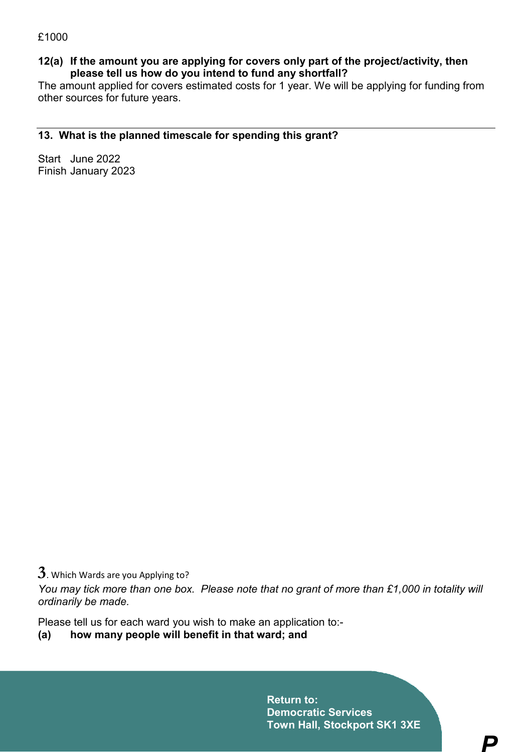#### **12(a) If the amount you are applying for covers only part of the project/activity, then please tell us how do you intend to fund any shortfall?**

The amount applied for covers estimated costs for 1 year. We will be applying for funding from other sources for future years.

#### **13. What is the planned timescale for spending this grant?**

Start June 2022 Finish January 2023

**3**. Which Wards are you Applying to?

*You may tick more than one box. Please note that no grant of more than £1,000 in totality will ordinarily be made.*

Please tell us for each ward you wish to make an application to:-

**(a) how many people will benefit in that ward; and**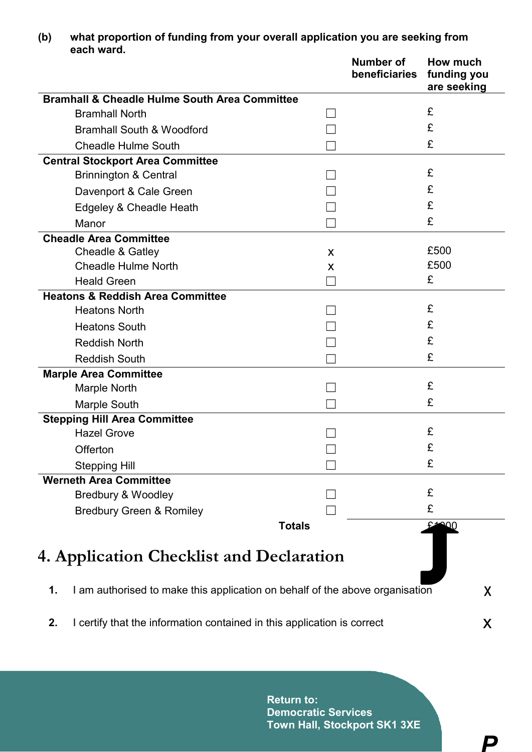|                                          |                                                                              |               | <b>Number of</b><br>beneficiaries | How much<br>funding you<br>are seeking |  |  |
|------------------------------------------|------------------------------------------------------------------------------|---------------|-----------------------------------|----------------------------------------|--|--|
|                                          | <b>Bramhall &amp; Cheadle Hulme South Area Committee</b>                     |               |                                   |                                        |  |  |
| <b>Bramhall North</b>                    |                                                                              |               |                                   | £                                      |  |  |
|                                          | <b>Bramhall South &amp; Woodford</b>                                         |               |                                   | £                                      |  |  |
|                                          | <b>Cheadle Hulme South</b>                                                   |               |                                   | £                                      |  |  |
|                                          | <b>Central Stockport Area Committee</b>                                      |               |                                   |                                        |  |  |
| <b>Brinnington &amp; Central</b>         |                                                                              |               |                                   | £                                      |  |  |
|                                          | Davenport & Cale Green                                                       |               |                                   | £                                      |  |  |
|                                          | Edgeley & Cheadle Heath                                                      |               |                                   | £                                      |  |  |
| Manor                                    |                                                                              |               |                                   | £                                      |  |  |
| <b>Cheadle Area Committee</b>            |                                                                              |               |                                   |                                        |  |  |
| Cheadle & Gatley                         |                                                                              | X             |                                   | £500                                   |  |  |
| <b>Cheadle Hulme North</b>               |                                                                              | X             |                                   | £500                                   |  |  |
| <b>Heald Green</b>                       |                                                                              |               |                                   | £                                      |  |  |
|                                          | <b>Heatons &amp; Reddish Area Committee</b>                                  |               |                                   |                                        |  |  |
| <b>Heatons North</b>                     |                                                                              |               |                                   | £                                      |  |  |
| <b>Heatons South</b>                     |                                                                              |               |                                   | £                                      |  |  |
| <b>Reddish North</b>                     |                                                                              |               |                                   | £                                      |  |  |
| <b>Reddish South</b>                     |                                                                              |               |                                   | £                                      |  |  |
| <b>Marple Area Committee</b>             |                                                                              |               |                                   |                                        |  |  |
| Marple North                             |                                                                              |               |                                   | £                                      |  |  |
| <b>Marple South</b>                      |                                                                              |               |                                   | £                                      |  |  |
| <b>Stepping Hill Area Committee</b>      |                                                                              |               |                                   |                                        |  |  |
| <b>Hazel Grove</b>                       |                                                                              |               |                                   | £                                      |  |  |
| Offerton                                 |                                                                              |               |                                   | £                                      |  |  |
| <b>Stepping Hill</b>                     |                                                                              |               |                                   | £                                      |  |  |
| <b>Werneth Area Committee</b>            |                                                                              |               |                                   |                                        |  |  |
| <b>Bredbury &amp; Woodley</b>            |                                                                              |               |                                   | £                                      |  |  |
|                                          | <b>Bredbury Green &amp; Romiley</b>                                          |               |                                   | £                                      |  |  |
|                                          |                                                                              | <b>Totals</b> |                                   | $E = 00$                               |  |  |
| 4. Application Checklist and Declaration |                                                                              |               |                                   |                                        |  |  |
| 1.                                       | I am authorised to make this application on behalf of the above organisation |               |                                   | X                                      |  |  |
| 2.                                       | I certify that the information contained in this application is correct      |               |                                   |                                        |  |  |

**(b) what proportion of funding from your overall application you are seeking from each ward.**